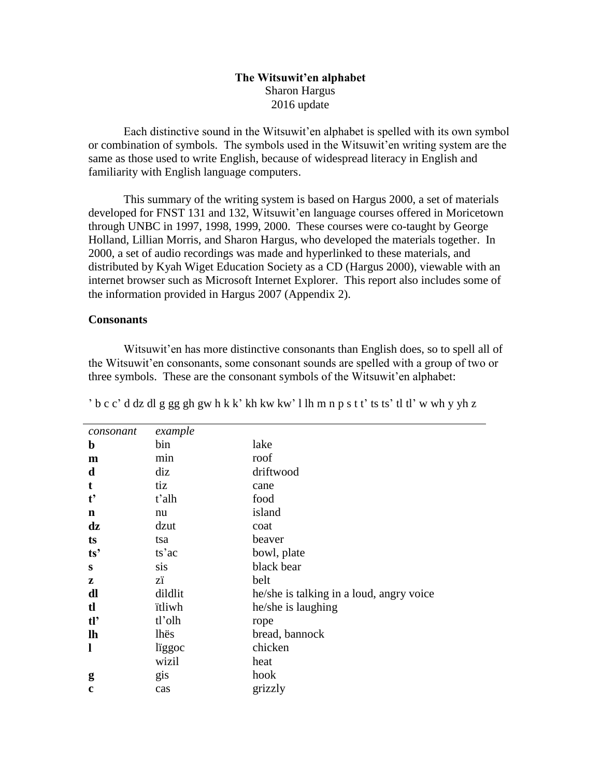## **The Witsuwit'en alphabet** Sharon Hargus 2016 update

Each distinctive sound in the Witsuwit'en alphabet is spelled with its own symbol or combination of symbols. The symbols used in the Witsuwit'en writing system are the same as those used to write English, because of widespread literacy in English and familiarity with English language computers.

This summary of the writing system is based on Hargus 2000, a set of materials developed for FNST 131 and 132, Witsuwit'en language courses offered in Moricetown through UNBC in 1997, 1998, 1999, 2000. These courses were co-taught by George Holland, Lillian Morris, and Sharon Hargus, who developed the materials together. In 2000, a set of audio recordings was made and hyperlinked to these materials, and distributed by Kyah Wiget Education Society as a CD (Hargus 2000), viewable with an internet browser such as Microsoft Internet Explorer. This report also includes some of the information provided in Hargus 2007 (Appendix 2).

#### **Consonants**

Witsuwit'en has more distinctive consonants than English does, so to spell all of the Witsuwit'en consonants, some consonant sounds are spelled with a group of two or three symbols. These are the consonant symbols of the Witsuwit'en alphabet:

| consonant     | example |                                          |
|---------------|---------|------------------------------------------|
| $\mathbf b$   | bin     | lake                                     |
| m             | min     | roof                                     |
| d             | diz     | driftwood                                |
| t             | tiz     | cane                                     |
| $t^{\prime}$  | t'alh   | food                                     |
| n             | nu      | island                                   |
| $\mathbf{dz}$ | dzut    | coat                                     |
| ts            | tsa     | beaver                                   |
| ts'           | ts'ac   | bowl, plate                              |
| S             | sis     | black bear                               |
| z             | zï      | belt                                     |
| dl            | dildlit | he/she is talking in a loud, angry voice |
| $\mathbf{t}$  | itliwh  | he/she is laughing                       |
| tl'           | tl'olh  | rope                                     |
| $\mathbf{h}$  | lhës    | bread, bannock                           |
| 1             | liggoc  | chicken                                  |
|               | wizil   | heat                                     |
| g             | gis     | hook                                     |
| c             | cas     | grizzly                                  |

' b c c' d dz dl g gg gh gw h k k' kh kw kw' l lh m n p s t t' ts ts' tl tl' w wh y yh z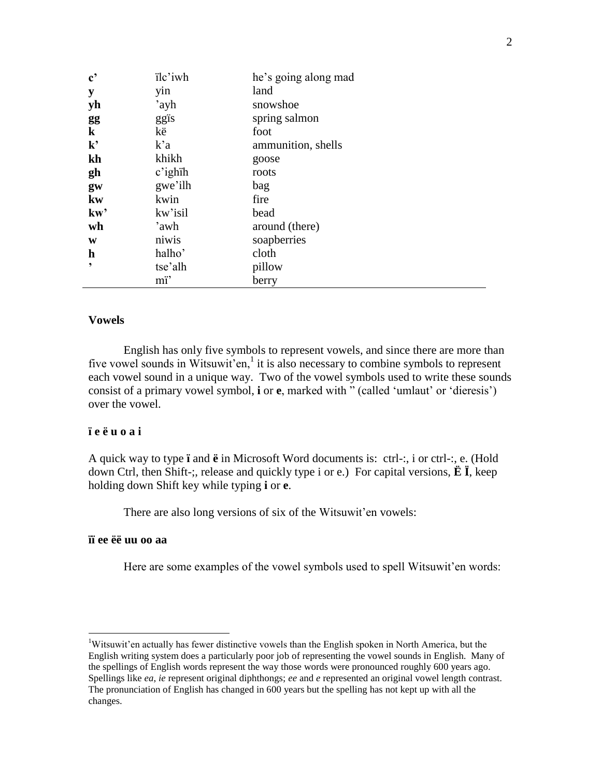| $\mathbf{c}^{\bullet}$ | ïlc'iwh    | he's going along mad |
|------------------------|------------|----------------------|
| y                      | yin        | land                 |
| yh                     | 'ayh       | snowshoe             |
| gg                     | ggis       | spring salmon        |
| $\bf k$                | kë         | foot                 |
| ${\bf k'}$             | k'a        | ammunition, shells   |
| kh                     | khikh      | goose                |
| gh                     | $c'$ ighih | roots                |
| gw                     | gwe'ilh    | bag                  |
| kw                     | kwin       | fire                 |
| kw'                    | kw'isil    | bead                 |
| wh                     | 'awh       | around (there)       |
| W                      | niwis      | soapberries          |
| $\mathbf h$            | halho'     | cloth                |
| ,                      | tse'alh    | pillow               |
|                        | mï'        | berry                |

### **Vowels**

English has only five symbols to represent vowels, and since there are more than five vowel sounds in Witsuwit'en,<sup>1</sup> it is also necessary to combine symbols to represent each vowel sound in a unique way. Two of the vowel symbols used to write these sounds consist of a primary vowel symbol, **i** or **e**, marked with " (called 'umlaut' or 'dieresis') over the vowel.

## **ï e ë u o a i**

A quick way to type **ï** and **ë** in Microsoft Word documents is: ctrl-:, i or ctrl-:, e. (Hold down Ctrl, then Shift-;, release and quickly type i or e.) For capital versions, **Ë Ï**, keep holding down Shift key while typing **i** or **e**.

There are also long versions of six of the Witsuwit'en vowels:

# **ïï ee ëë uu oo aa**

 $\overline{a}$ 

Here are some examples of the vowel symbols used to spell Witsuwit'en words:

<sup>1</sup>Witsuwit'en actually has fewer distinctive vowels than the English spoken in North America, but the English writing system does a particularly poor job of representing the vowel sounds in English. Many of the spellings of English words represent the way those words were pronounced roughly 600 years ago. Spellings like *ea*, *ie* represent original diphthongs; *ee* and *e* represented an original vowel length contrast. The pronunciation of English has changed in 600 years but the spelling has not kept up with all the changes.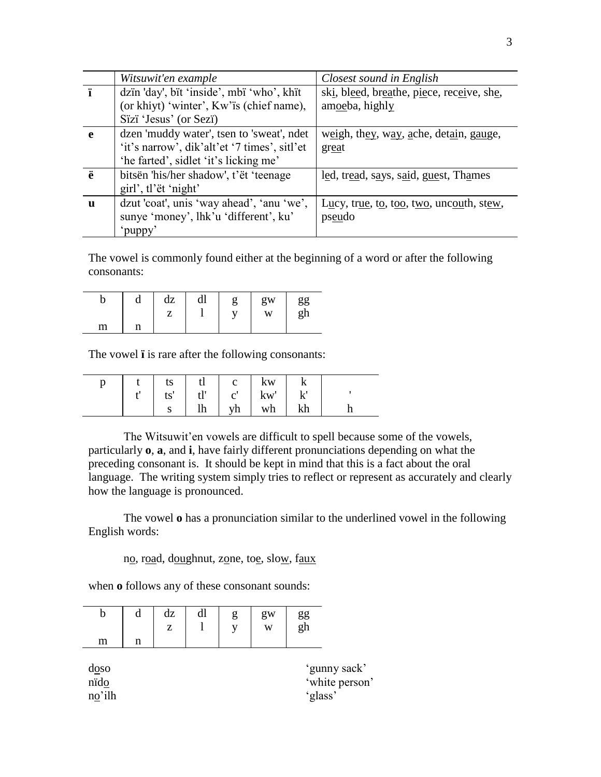|   | Witsuwit'en example                          | Closest sound in English                  |
|---|----------------------------------------------|-------------------------------------------|
| ï | dzin 'day', bit 'inside', mbi 'who', khit    | ski, bleed, breathe, piece, receive, she, |
|   | (or khiyt) 'winter', Kw'is (chief name),     | amoeba, highly                            |
|   | Sïzï 'Jesus' (or Sezi')                      |                                           |
| e | dzen 'muddy water', tsen to 'sweat', ndet    | weigh, they, way, ache, detain, gauge,    |
|   | 'it's narrow', dik'alt'et '7 times', sitl'et | great                                     |
|   | 'he farted', sidlet 'it's licking me'        |                                           |
| ë | bitsën 'his/her shadow', t'ët 'teenage       | led, tread, says, said, guest, Thames     |
|   | girl', tl'ët 'night'                         |                                           |
| u | dzut 'coat', unis 'way ahead', 'anu 'we',    | Lucy, true, to, too, two, uncouth, stew,  |
|   | sunye 'money', lhk'u 'different', ku'        | pseudo                                    |
|   | puppy'                                       |                                           |

The vowel is commonly found either at the beginning of a word or after the following consonants:

|   | u     | dz<br>7 | dl | gw<br>W | gg<br>gh |
|---|-------|---------|----|---------|----------|
| m | n<br> |         |    |         |          |

The vowel **ï** is rare after the following consonants:

|  |             |  | $t$   ts   tl   c   kw                                    |    |  |
|--|-------------|--|-----------------------------------------------------------|----|--|
|  |             |  | $\vert$ ts' $\vert$ tl' $\vert$ c' $\vert$ kw' $\vert$ k' |    |  |
|  | $S \quad  $ |  | $\ln$   $\sqrt{h}$   $\sqrt{h}$                           | kh |  |

The Witsuwit'en vowels are difficult to spell because some of the vowels, particularly **o**, **a**, and **i**, have fairly different pronunciations depending on what the preceding consonant is. It should be kept in mind that this is a fact about the oral language. The writing system simply tries to reflect or represent as accurately and clearly how the language is pronounced.

The vowel **o** has a pronunciation similar to the underlined vowel in the following English words:

no, road, doughnut, zone, toe, slow, faux

when **o** follows any of these consonant sounds:

| b<br>m                             | d<br>n | dz<br>z | dl | g<br>у | gw<br>W | $\frac{gg}{gh}$ |                                |
|------------------------------------|--------|---------|----|--------|---------|-----------------|--------------------------------|
| $\frac{d}{d}$ so<br>nido<br>no'ilh |        |         |    |        |         | 'glass'         | 'gunny sack'<br>'white person' |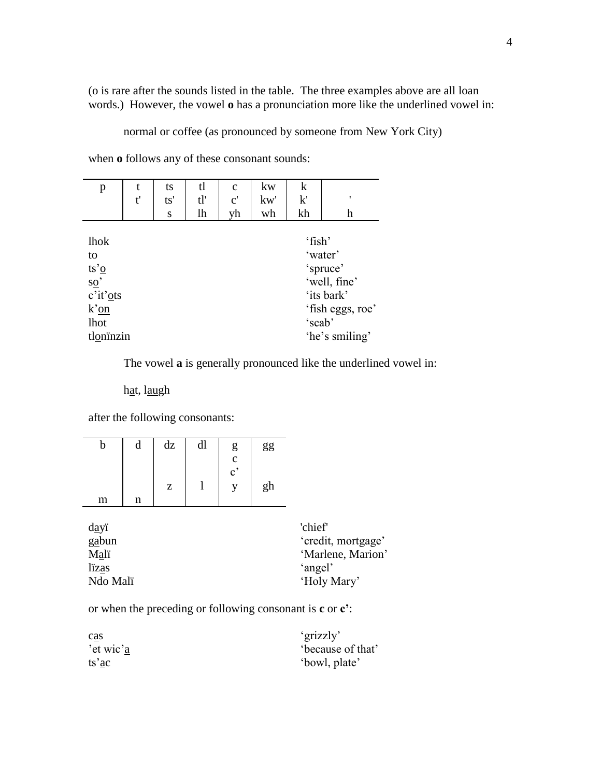(o is rare after the sounds listed in the table. The three examples above are all loan words.) However, the vowel **o** has a pronunciation more like the underlined vowel in:

normal or coffee (as pronounced by someone from New York City)

when **o** follows any of these consonant sounds:

| p                                                                                                                        | t. | ts  | tl  | $\mathbf{C}$  | kw  | $\mathbf k$      |                                                                                         |
|--------------------------------------------------------------------------------------------------------------------------|----|-----|-----|---------------|-----|------------------|-----------------------------------------------------------------------------------------|
|                                                                                                                          | t' | ts' | tl' | $\mathbf{c}'$ | kw' | k'               | ,                                                                                       |
|                                                                                                                          |    | S   | lh  | yh            | wh  | kh               | h                                                                                       |
| lhok<br>to<br>$ts' \underline{o}$<br>$rac{\overline{SO}}{c'it' \underline{O}}$ ts<br>$k'$ <u>on</u><br>lhot<br>tlonïnzin |    |     |     |               |     | 'fish'<br>'scab' | 'water'<br>'spruce'<br>'well, fine'<br>'its bark'<br>'fish eggs, roe'<br>'he's smiling' |

The vowel **a** is generally pronounced like the underlined vowel in:

hat, laugh

after the following consonants:

| D | d | dz | dl | g             | gg |
|---|---|----|----|---------------|----|
|   |   |    |    | $\frac{c}{c}$ |    |
|   |   | z  |    |               | gh |
| m | n |    |    |               |    |

| dayi                      | 'chief'            |  |  |
|---------------------------|--------------------|--|--|
| gabun                     | 'credit, mortgage' |  |  |
| 'Marlene, Marion'<br>Mali |                    |  |  |
| lizas                     | 'angel'            |  |  |
| Ndo Mali                  | 'Holy Mary'        |  |  |

or when the preceding or following consonant is **c** or **c'**:

| cas       | 'grizzly'        |
|-----------|------------------|
| 'et wic'a | because of that' |
| ts'ac     | 'bowl, plate'    |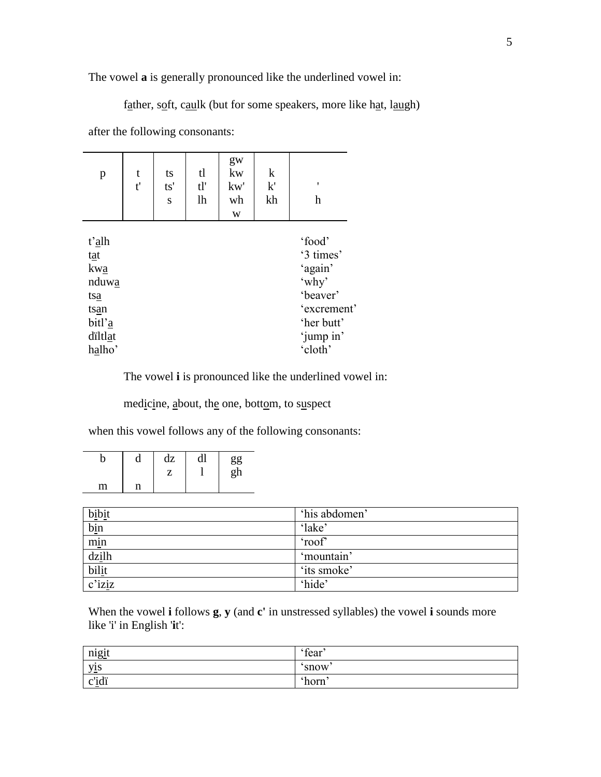The vowel **a** is generally pronounced like the underlined vowel in:

father, soft, caulk (but for some speakers, more like hat, laugh)

after the following consonants:

| p                                                                          | t<br>t' | ts<br>ts'<br>S | tl<br>tl'<br>lh | gw<br>kw<br>kw'<br>wh<br>W | $\mathbf k$<br>k'<br>kh | ٠<br>h                                                                                                   |
|----------------------------------------------------------------------------|---------|----------------|-----------------|----------------------------|-------------------------|----------------------------------------------------------------------------------------------------------|
| t'alh<br>tat<br>kwa<br>nduwa<br>tsa<br>tsan<br>bitl'a<br>diltlat<br>halho' |         |                |                 |                            |                         | 'food'<br>'3 times'<br>'again'<br>'why'<br>'beaver'<br>'excrement'<br>'her butt'<br>'jump in'<br>'cloth' |

The vowel **i** is pronounced like the underlined vowel in:

medicine, about, the one, bottom, to suspect

when this vowel follows any of the following consonants:

|   | a | dz | αı | $\frac{gg}{gh}$<br>$\mathbf{a}$ |
|---|---|----|----|---------------------------------|
| m | n |    |    |                                 |

| bibit  | 'his abdomen' |
|--------|---------------|
| bin    | 'lake'        |
| min    | 'roof'        |
| dzilh  | 'mountain     |
| bilit  | 'its smoke'   |
| c'iziz | 'hide'        |

When the vowel **i** follows **g**, **y** (and **c'** in unstressed syllables) the vowel **i** sounds more like 'i' in English '**i**t':

| $\bullet$<br><u>nigit</u> | fear  |
|---------------------------|-------|
| $\bullet$<br><u>yis</u>   | snow  |
| ボスキ<br>c <sub>ir</sub>    | `horn |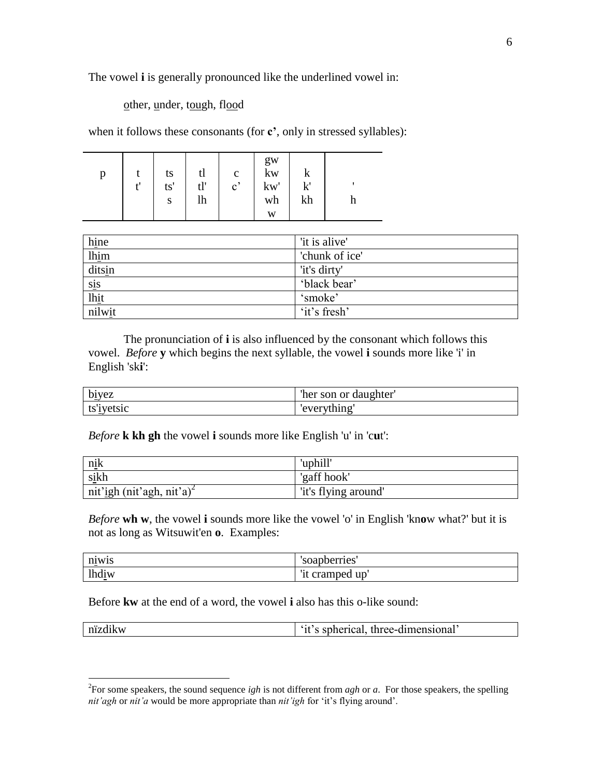The vowel **i** is generally pronounced like the underlined vowel in:

other, under, tough, flood

when it follows these consonants (for **c'**, only in stressed syllables):

| p |  | ts<br>ts'<br>S | tl<br>tl'<br>lh | $\mathbf c$<br>$\mathbf{c}^{\prime}$ | gw<br>$\mathbf{kw}$<br>kw'<br>wh<br>W | v<br>1,1<br>V<br>kh |  |
|---|--|----------------|-----------------|--------------------------------------|---------------------------------------|---------------------|--|
|---|--|----------------|-----------------|--------------------------------------|---------------------------------------|---------------------|--|

| hine   | 'it is alive'  |
|--------|----------------|
| lhim   | 'chunk of ice' |
| ditsin | 'it's dirty'   |
| sis    | 'black bear'   |
| lhit   | 'smoke'        |
| nilwit | 'it's fresh'   |

The pronunciation of **i** is also influenced by the consonant which follows this vowel. *Before* **y** which begins the next syllable, the vowel **i** sounds more like 'i' in English 'sk**i**':

| biyez      | "her son or daughter" |
|------------|-----------------------|
| ts'iyetsic | 'everything'          |

*Before* **k kh gh** the vowel **i** sounds more like English 'u' in 'c**u**t':

| nik                                   | 'uphill'             |
|---------------------------------------|----------------------|
| sikh                                  | 'gaff hook'          |
| nit'igh (nit'agh, nit'a) <sup>2</sup> | 'it's flying around' |

*Before* **wh w**, the vowel **i** sounds more like the vowel 'o' in English 'kn**o**w what?' but it is not as long as Witsuwit'en **o**. Examples:

| n1W1S<br>$\sim$                                 | 'soapberries'        |
|-------------------------------------------------|----------------------|
| -11<br>$\bullet$<br>lhd <sub>1W</sub><br>$\sim$ | up<br>t cramped<br>ᅭ |

Before **kw** at the end of a word, the vowel **i** also has this o-like sound:

 $\overline{a}$ 

| nïzdikw | l 'it's spherical, three-dimensional' |
|---------|---------------------------------------|
|         |                                       |

<sup>&</sup>lt;sup>2</sup>For some speakers, the sound sequence *igh* is not different from *agh* or *a*. For those speakers, the spelling *nit'agh* or *nit'a* would be more appropriate than *nit'igh* for 'it's flying around'.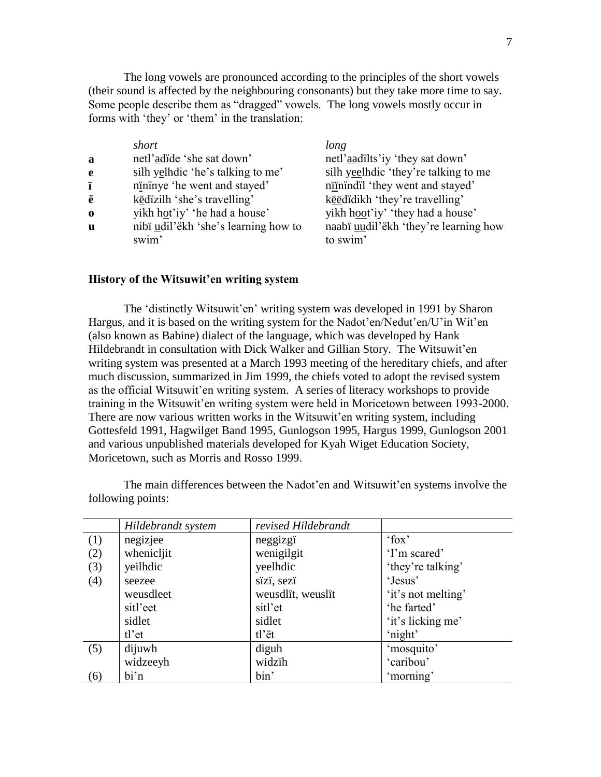The long vowels are pronounced according to the principles of the short vowels (their sound is affected by the neighbouring consonants) but they take more time to say. Some people describe them as "dragged" vowels. The long vowels mostly occur in forms with 'they' or 'them' in the translation:

|   | short                                | long                                  |
|---|--------------------------------------|---------------------------------------|
| a | netl'adide 'she sat down'            | netl'aadilts'iy 'they sat down'       |
| e | silh yelhdic 'he's talking to me'    | silh yeelhdic 'they're talking to me  |
| ï | nininye 'he went and stayed'         | niinindil 'they went and stayed'      |
| ë | këdizilh 'she's travelling'          | kë edidikh 'they're travelling'       |
| 0 | yikh hot'iy' 'he had a house'        | yikh hoot'iy' 'they had a house'      |
| u | nibi udil'ëkh 'she's learning how to | naabï uudil'ëkh 'they're learning how |
|   | swim'                                | to swim'                              |
|   |                                      |                                       |

#### **History of the Witsuwit'en writing system**

The 'distinctly Witsuwit'en' writing system was developed in 1991 by Sharon Hargus, and it is based on the writing system for the Nadot'en/Nedut'en/U'in Wit'en (also known as Babine) dialect of the language, which was developed by Hank Hildebrandt in consultation with Dick Walker and Gillian Story. The Witsuwit'en writing system was presented at a March 1993 meeting of the hereditary chiefs, and after much discussion, summarized in Jim 1999, the chiefs voted to adopt the revised system as the official Witsuwit'en writing system. A series of literacy workshops to provide training in the Witsuwit'en writing system were held in Moricetown between 1993-2000. There are now various written works in the Witsuwit'en writing system, including Gottesfeld 1991, Hagwilget Band 1995, Gunlogson 1995, Hargus 1999, Gunlogson 2001 and various unpublished materials developed for Kyah Wiget Education Society, Moricetown, such as Morris and Rosso 1999.

|     | Hildebrandt system | revised Hildebrandt |                    |
|-----|--------------------|---------------------|--------------------|
| (1) | negizjee           | neggizgï            | 'fox'              |
| (2) | whenicljit         | wenigilgit          | 'I'm scared'       |
| (3) | yeilhdic           | yeelhdic            | 'they're talking'  |
| (4) | seezee             | sïzï, sezï          | 'Jesus'            |
|     | weusdleet          | weusdlit, weuslit   | 'it's not melting' |
|     | sitl'eet           | sitl'et             | 'he farted'        |
|     | sidlet             | sidlet              | 'it's licking me'  |
|     | $tl$ 'et           | tl'ët               | 'night'            |
| (5) | dijuwh             | diguh               | 'mosquito'         |
|     | widzeeyh           | widzih              | 'caribou'          |
| (6) | bi'n               | bin'                | 'morning'          |

The main differences between the Nadot'en and Witsuwit'en systems involve the following points: